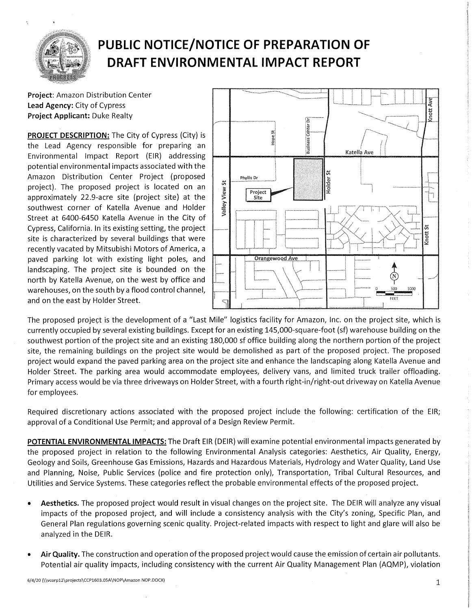

## **PUBLIC NOTICE/NOTICE OF PREPARATION OF DRAFT ENVIRONMENTAL IMPACT REPORT**

**Project:** Amazon Distribution Center **Lead Agency:** City of Cypress **Project Applicant:** Duke Realty

**PROJECT DESCRIPTION:** The City of Cypress (City) is the Lead Agency responsible for preparing an Environmental Impact Report (EIR) addressing potential environmental impacts associated with the Amazon Distribution Center Project (proposed project). The proposed project is located on an approximately 22.9-acre site (project site) at the southwest corner of Katella Avenue and Holder Street at 6400-6450 Katella Avenue in the City of Cypress, California. In its existing setting, the project site is characterized by several buildings that were recently vacated by Mitsubishi Motors of America, a paved parking lot with existing light poles, and landscaping. The project site is bounded on the north by Katella Avenue, on the west by office and warehouses, on the south by a flood control channel, and on the east by Holder Street.



The proposed project is the development of a "Last Mile" logistics facility for Amazon, Inc. on the project site, which is currently occupied by several existing buildings. Except for an existing 145,000-square-foot (sf) warehouse building on the southwest portion of the project site and an existing 180,000 sf office building along the northern portion of the project site, the remaining buildings on the project site would be demolished as part of the proposed project. The proposed project would expand the paved parking area on the project site and enhance the landscaping along Katella Avenue and Holder Street. The parking area would accommodate employees, delivery vans, and limited truck trailer offloading. Primary access would be via three driveways on Holder Street, with a fourth right-in/right-out driveway on Katella Avenue for employees.

Required discretionary actions associated with the proposed project include the following: certification of the EIR; approval of a Conditional Use Permit; and approval of a Design Review Permit.

**POTENTIAL ENVIRONMENTAL IMPACTS:** The Draft EIR (DEIR) will examine potential environmental impacts generated by the proposed project in relation to the following Environmental Analysis categories: Aesthetics, Air Quality, Energy, Geology and Soils, Greenhouse Gas Emissions, Hazards and Hazardous Materials, Hydrology and Water Quality, Land Use and Planning, Noise, Public Services {police and fire protection only), Transportation, Tribal Cultural Resources, and Utilities and Service Systems. These categories reflect the probable environmental effects of the proposed project.

- **Aesthetics.** The proposed project would result in visual changes on the project site. The DEIR will analyze any visual impacts of the proposed project, and will include a consistency analysis with the City's zoning, Specific Plan, and General Plan regulations governing scenic quality. Project-related impacts with respect to light and glare will also be analyzed in the DEIR.
- **Air Quality.** The construction and operation of the proposed project would cause the emission of certain air pollutants. Potential air quality impacts, including consistency with the current Air Quality Management Plan (AQMP), violation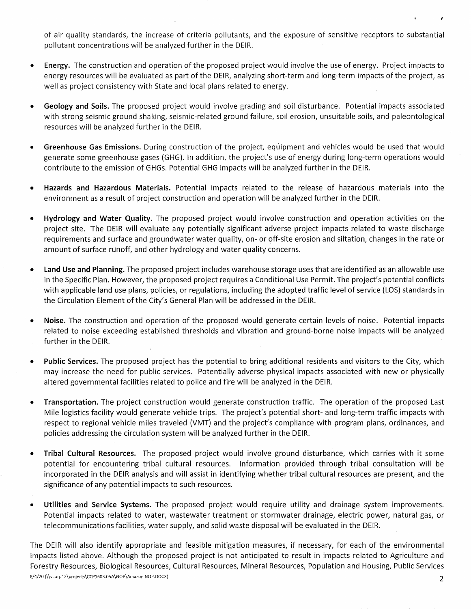of air quality standards, the increase of criteria pollutants, and the exposure of sensitive receptors to substantial pollutant concentrations will be analyzed further in the DEIR.

- **Energy.** The construction and operation of the proposed project would involve the use of energy. Project impacts to energy resources will be evaluated as part of the DEIR, analyzing short-term and long-term impacts of the project, as well as project consistency with State and local plans related to energy.
- **Geology and Soils.** The proposed project would involve grading and soil disturbance. Potential impacts associated with strong seismic ground shaking, seismic-related ground failure, soil erosion, unsuitable soils, and paleontological resources will be analyzed further in the DEIR.
- **Greenhouse Gas Emissions.** During construction of the project, equipment and vehicles would be used that would generate some greenhouse gases (GHG}. In addition, the project's use of energy during long-term operations would contribute to the emission of GHGs. Potential GHG impacts will be analyzed further in the DEIR.
- **Hazards and Hazardous Materials.** Potential impacts related to the release of hazardous materials into the environment as a result of project construction and operation will be analyzed further in the DEIR.
- **Hydrology and Water Quality.** The proposed project would involve construction and operation activities on the project site. 'The DEIR will evaluate any potentially significant adverse project impacts related to waste discharge requirements and surface and groundwater water quality, on- or off-site erosion and siltation, changes in the rate or amount of surface runoff, and other hydrology and water quality concerns.
- **Land Use and Planning.** The proposed project includes warehouse storage uses that are identified as an allowable use in the Specific Plan. However, the proposed project requires a Conditional Use Permit. The project's potential conflicts with applicable land use plans, policies, or regulations, including the adopted traffic level of service (LOS} standards in the Circulation Element of the City's General Plan will be addressed in the DEIR
- **Noise.** The construction and operation of the proposed would generate certain levels of noise. Potential impacts related to noise exceeding established thresholds and vibration and ground-borne noise impacts will be analyzed further in the DEIR.
- **Public Services.** The proposed project has the potential to bring additional residents and visitors to the City, which may increase the need for public services. Potentially adverse physical impacts associated with new or physically altered governmental facilities related to police and fire will be analyzed in the DEIR.
- **Transportation.** The project construction would generate construction traffic. The operation of the proposed Last Mile logistics facility would generate vehicle trips. The project's potential short- and long-term traffic impacts with respect to regional vehicle miles traveled (VMT} and the project's compliance with program plans, ordinances, and policies addressing the circulation system will be analyzed further in the DEIR.
- **Tribal Cultural Resources.** The proposed project would involve ground disturbance, which carries with it some potential for encountering tribal cultural resources. Information provided through tribal consultation will be incorporated in the DEIR analysis and will assist in identifying whether tribal cultural resources are present, and the significance of any potential impacts to such resources.
- **Utilities and Service Systems.** The proposed project would require utility and drainage system improvements. Potential impacts related to water, wastewater treatment or stormwater drainage, electric power, natural gas, or telecommunications facilities, water supply, and solid waste disposal will be evaluated in the DEIR.

The DEIR will also identify appropriate and feasible mitigation measures, if necessary, for each of the environmental impacts listed above. Although the proposed project is not anticipated to result in impacts related to Agriculture and Forestry Resources, Biological Resources, Cultural Resources, Mineral Resources, Population and Housing, Public Services 6/4/20 (\ \vcorp12\projects\CCP1603.0SA \NOP\Amazon NOP .DOCX) 2